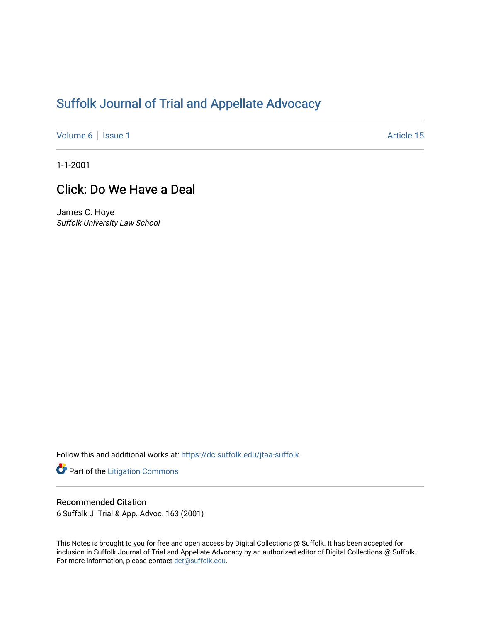# [Suffolk Journal of Trial and Appellate Advocacy](https://dc.suffolk.edu/jtaa-suffolk)

[Volume 6](https://dc.suffolk.edu/jtaa-suffolk/vol6) | [Issue 1](https://dc.suffolk.edu/jtaa-suffolk/vol6/iss1) Article 15

1-1-2001

## Click: Do We Have a Deal

James C. Hoye Suffolk University Law School

Follow this and additional works at: [https://dc.suffolk.edu/jtaa-suffolk](https://dc.suffolk.edu/jtaa-suffolk?utm_source=dc.suffolk.edu%2Fjtaa-suffolk%2Fvol6%2Fiss1%2F15&utm_medium=PDF&utm_campaign=PDFCoverPages) 

Part of the [Litigation Commons](https://network.bepress.com/hgg/discipline/910?utm_source=dc.suffolk.edu%2Fjtaa-suffolk%2Fvol6%2Fiss1%2F15&utm_medium=PDF&utm_campaign=PDFCoverPages)

### Recommended Citation

6 Suffolk J. Trial & App. Advoc. 163 (2001)

This Notes is brought to you for free and open access by Digital Collections @ Suffolk. It has been accepted for inclusion in Suffolk Journal of Trial and Appellate Advocacy by an authorized editor of Digital Collections @ Suffolk. For more information, please contact [dct@suffolk.edu](mailto:dct@suffolk.edu).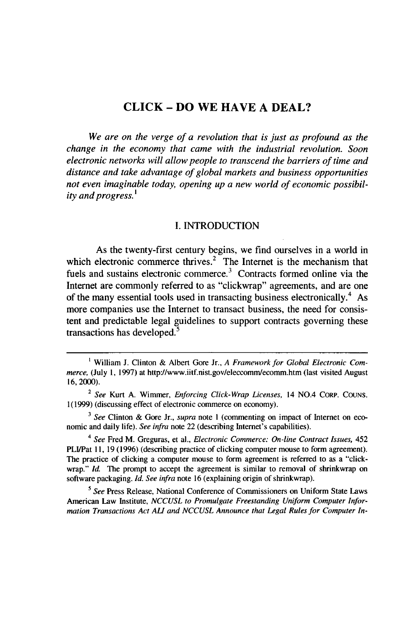## **CLICK - DO WE HAVE A DEAL?**

*We are on the verge of a revolution that is just as profound as the change in the economy that came with the industrial revolution. Soon electronic networks will allow people to transcend the barriers of time and distance and take advantage of global markets and business opportunities not even imaginable today, opening up a new world of economic possibility and progress. '*

#### I. INTRODUCTION

As the twenty-first century begins, we find ourselves in a world in which electronic commerce thrives.<sup>2</sup> The Internet is the mechanism that fuels and sustains electronic commerce.<sup>3</sup> Contracts formed online via the Internet are commonly referred to as "clickwrap" agreements, and are one of the many essential tools used in transacting business electronically.<sup>4</sup> As more companies use the Internet to transact business, the need for consistent and predictable legal guidelines to support contracts governing these transactions has developed.<sup>5</sup>

**<sup>&#</sup>x27;** William J. Clinton & Albert Gore Jr., *A* Framework *for Global Electronic Commerce,* (July 1, 1997) at http://www.iitf.nist.gov/eleccomm/ecomm.htm (last visited August 16, 2000).

<sup>2</sup> *See* Kurt A. Wimmer, *Enforcing Click-Wrap Licenses,* 14 NO.4 CORP. COUNS. 1(1999) (discussing effect of electronic commerce on economy).

*<sup>3</sup> See* Clinton & Gore Jr., *supra* note I (commenting on impact of Internet on economic and daily life). *See infra* note 22 (describing Internet's capabilities).

*<sup>4</sup> See* Fred M. Greguras, et al., *Electronic Commerce: On-line Contract Issues, 452* PLI/Pat **11,** 19 (1996) (describing practice of clicking computer mouse to form agreement). The practice of clicking a computer mouse to form agreement is referred to as a "clickwrap." *kd.* The prompt to accept the agreement is similar to removal of shrinkwrap on software packaging. *Id. See infra* note 16 (explaining origin of shrinkwrap).

*<sup>5</sup> See* Press Release, National Conference of Commissioners on Uniform State Laws American Law Institute, *NCCUSL to Promulgate Freestanding Uniform Computer Information Transactions Act AL and NCCUSL Announce that Legal Rules for Computer In-*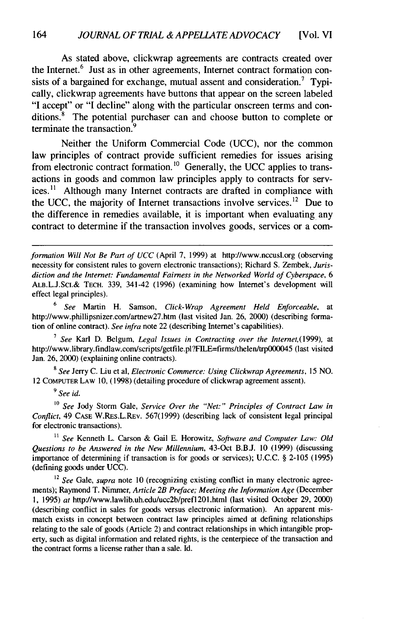As stated above, clickwrap agreements are contracts created over the Internet.<sup>6</sup> Just as in other agreements, Internet contract formation consists of a bargained for exchange, mutual assent and consideration.<sup>7</sup> Typically, clickwrap agreements have buttons that appear on the screen labeled "I accept" or "I decline" along with the particular onscreen terms and conditions.<sup>8</sup> The potential purchaser can and choose button to complete or terminate the transaction.<sup>9</sup>

Neither the Uniform Commercial Code (UCC), nor the common law principles of contract provide sufficient remedies for issues arising from electronic contract formation.<sup>10</sup> Generally, the UCC applies to transactions in goods and common law principles apply to contracts for serv $i$ ces.<sup>11</sup> Although many Internet contracts are drafted in compliance with the UCC, the majority of Internet transactions involve services.<sup>12</sup> Due to the difference in remedies available, it is important when evaluating any contract to determine if the transaction involves goods, services or a com-

*formation Will Not Be Part of UCC* (April 7, 1999) at http://www.nccusl.org (observing necessity for consistent rules to govern electronic transactions); Richard S. Zembek, *Jurisdiction and the Internet: Fundamental Fairness in the Networked World of Cyberspace, 6* ALB.L.J.ScI.& TECH. 339, 341-42 (1996) (examining how Internet's development will effect legal principles).

<sup>6</sup>*See* Martin H. Samson, *Click-Wrap Agreement Held Enforceable,* at http://www.phillipsnizer.com/artnew27.htm (last visited Jan. 26, 2000) (describing formation of online contract). *See infra* note 22 (describing Internet's capabilities).

*<sup>7</sup>See* Karl D. Belgum, *Legal Issues in Contracting over the Internet,(1999),* at http://www.library.findlaw.com/scripts/getfile.pl?FILE=firms/thelen/trp000045 (last visited Jan. 26, 2000) (explaining online contracts).

8 *See* Jerry C. Liu et al, *Electronic Commerce: Using Clickwrap Agreements,* 15 NO. 12 COMPUTER LAW 10, (1998) (detailing procedure of clickwrap agreement assent).

*9 See id.*

*10 See* Jody Storm Gale, *Service Over the "Net:" Principles of Contract Law in Conflict,* 49 **CASE** W.RES.L.REv. 567(1999) (describing lack of consistent legal principal for electronic transactions).

*11 See* Kenneth L. Carson & Gail E. Horowitz, *Software and Computer Law: Old Questions to be Answered in the New Millennium,* 43-Oct B.B.J. 10 (1999) (discussing importance of determining if transaction is for goods or services); U.C.C. § 2-105 (1995) (defining goods under UCC).

<sup>12</sup> See Gale, *supra* note 10 (recognizing existing conflict in many electronic agreements); Raymond T. Nimmer, *Article 2B Preface; Meeting the Information Age* (December **1,** 1995) *at* http://www.lawlib.uh.edu/ucc2b/prefl2Ol.html (last visited October 29, 2000) (describing conflict in sales for goods versus electronic information). An apparent mismatch exists in concept between contract law principles aimed at defining relationships relating to the sale of goods (Article 2) and contract relationships in which intangible property, such as digital information and related rights, is the centerpiece of the transaction and the contract forms a license rather than a sale. Id.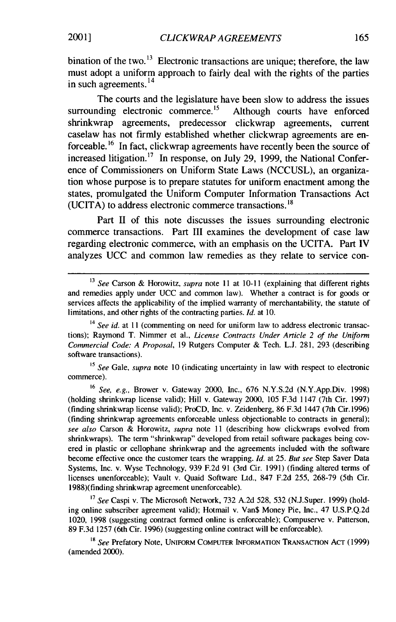bination of the two.<sup>13</sup> Electronic transactions are unique; therefore, the law must adopt a uniform approach to fairly deal with the rights of the parties  $\frac{14}{14}$  in such agreements.<sup>14</sup>

The courts and the legislature have been slow to address the issues surrounding electronic commerce.<sup>15</sup> Although courts have enforced shrinkwrap agreements, predecessor clickwrap agreements, current caselaw has not firmly established whether clickwrap agreements are enforceable.16 In fact, clickwrap agreements have recently been the source of increased litigation.<sup>17</sup> In response, on July 29, 1999, the National Conference of Commissioners on Uniform State Laws (NCCUSL), an organization whose purpose is to prepare statutes for uniform enactment among the states, promulgated the Uniform Computer Information Transactions Act (UCITA) to address electronic commerce transactions. **<sup>1</sup> 8**

Part II of this note discusses the issues surrounding electronic commerce transactions. Part III examines the development of case law regarding electronic commerce, with an emphasis on the UCITA. Part IV analyzes UCC and common law remedies as they relate to service con-

**15** *See* Gale, *supra* note 10 (indicating uncertainty in law with respect to electronic commerce).

16 *See, e.g.,* Brower v. Gateway 2000, Inc., 676 N.Y.S.2d (N.Y.App.Div. 1998) (holding shrinkwrap license valid); Hill v. Gateway 2000, 105 F.3d 1147 (7th Cir. 1997) (finding shrinkwrap license valid); ProCD, Inc. v. Zeidenberg, 86 F.3d 1447 (7th Cir. 1996) (finding shrinkwrap agreements enforceable unless objectionable to contracts in general); *see also* Carson & Horowitz, *supra* note 11 (describing how clickwraps evolved from shrinkwraps). The term "shrinkwrap" developed from retail software packages being covered in plastic or cellophane shrinkwrap and the agreements included with the software become effective once the customer tears the wrapping. *Id.* at 25. *But see* Step Saver Data Systems, Inc. v. Wyse Technology, 939 F.2d 91 (3rd Cir. 1991) (finding altered terms of licenses unenforceable); Vault v. Quaid Software Ltd., 847 F.2d 255, 268-79 (5th Cir. 1988)(finding shrinkwrap agreement unenforceable).

*17 See* Caspi v. The Microsoft Network, 732 A.2d 528, 532 (N.J.Super. 1999) (holding online subscriber agreement valid); Hotmail v. Van\$ Money Pie, Inc., 47 U.S.P.Q.2d 1020, 1998 (suggesting contract formed online is enforceable); Compuserve v. Patterson, 89 F.3d 1257 (6th Cir. 1996) (suggesting online contract will be enforceable).

**18** *See* Prefatory Note, UNIFORM COMPUTER INFORMATION **TRANSACTION ACT** (1999) (amended 2000).

<sup>&</sup>lt;sup>13</sup> See Carson & Horowitz, *supra* note 11 at 10-11 (explaining that different rights and remedies apply under UCC and common law). Whether a contract is for goods or services affects the applicability of the implied warranty of merchantability, the statute of limitations, and other rights of the contracting parties. *Id.* at 10.

<sup>&</sup>lt;sup>14</sup> See id. at 11 (commenting on need for uniform law to address electronic transactions); Raymond T. Nimmer et al., *License Contracts Under Article 2 of the Uniform* Commercial Code: *A Proposal,* 19 Rutgers Computer & Tech. L.J. 281, 293 (describing software transactions).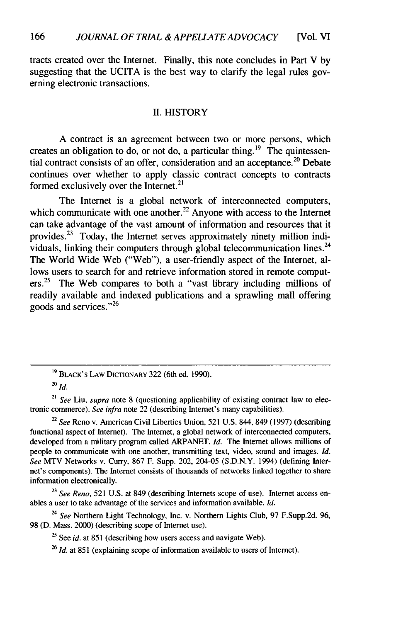tracts created over the Internet. Finally, this note concludes in Part V by suggesting that the UCITA is the best way to clarify the legal rules governing electronic transactions.

#### II. HISTORY

A contract is an agreement between two or more persons, which creates an obligation to do, or not do, a particular thing.<sup>19</sup> The quintessential contract consists of an offer, consideration and an acceptance.<sup>20</sup> Debate continues over whether to apply classic contract concepts to contracts formed exclusively over the Internet.<sup>21</sup>

The Internet is a global network of interconnected computers, which communicate with one another.<sup>22</sup> Anyone with access to the Internet can take advantage of the vast amount of information and resources that it provides.<sup>23</sup> Today, the Internet serves approximately ninety million individuals, linking their computers through global telecommunication lines.<sup>24</sup> The World Wide Web ("Web"), a user-friendly aspect of the Internet, allows users to search for and retrieve information stored in remote computers.<sup>25</sup> The Web compares to both a "vast library including millions of readily available and indexed publications and a sprawling mall offering goods and services."<sup>26</sup>

**<sup>19</sup>** BLACK'S LAW DICTIONARY 322 (6th ed. 1990).

*<sup>20</sup>***Id.**

<sup>21</sup> *See* Liu, supra note **8** (questioning applicability of existing contract law to electronic commerce). *See infra* note 22 (describing Internet's many capabilities).

<sup>22</sup>*See* Reno v. American Civil Liberties Union, **521 U.S.** 844, 849 **(1997)** (describing functional aspect of Internet). The Internet, a global network of interconnected computers, developed from a military program called ARPANET. *Id.* The Internet allows millions of people to communicate with one another, transmitting text, video, sound and images. *Id. See* MTV Networks v. Curry, **867** F. Supp. 202, 204-05 **(S.D.N.Y.** 1994) (defining Internet's components). The Internet consists of thousands of networks linked together to share information electronically.

**<sup>23</sup>** *See Reno,* **521 U.S.** at 849 (describing Internets scope of use). Internet access enables a user to take advantage of the services and information available. *Id.*

<sup>24</sup> *See* Northern Light Technology, Inc. v. Northern Lights Club, **97** F.Supp.2d. **96, 98 (D.** Mass. 2000) (describing scope of Internet use).

<sup>25</sup> See *id.* at **851** (describing how users access and navigate Web).

<sup>26</sup> *Id.* at **851** (explaining scope of information available to users of Internet).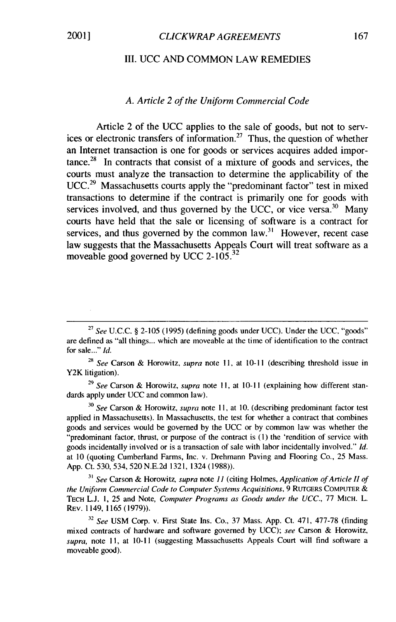#### III. UCC AND COMMON LAW REMEDIES

#### *A. Article 2 of the Uniform Commercial Code*

Article 2 of the UCC applies to the sale of goods, but not to services or electronic transfers of information.27 Thus, the question of whether an Internet transaction is one for goods or services acquires added importance. $28$  In contracts that consist of a mixture of goods and services, the courts must analyze the transaction to determine the applicability of the UCC.<sup>29</sup> Massachusetts courts apply the "predominant factor" test in mixed transactions to determine if the contract is primarily one for goods with services involved, and thus governed by the UCC, or vice versa.  $30$  Many courts have held that the sale or licensing of software is a contract for services, and thus governed by the common  $law<sup>31</sup>$ . However, recent case law suggests that the Massachusetts Appeals Court will treat software as a moveable good governed by UCC 2-105. $32$ 

<sup>28</sup>*See* Carson & Horowitz, *supra* note 11, at **10-11** (describing threshold issue in Y2K litigation).

29 *See* Carson & Horowitz, *supra* note **11,** at **10-11** (explaining how different standards apply under UCC and common law).

<sup>30</sup>*See* Carson & Horowitz, *supra* note 11, at 10. (describing predominant factor test applied in Massachusetts). In Massachusetts, the test for whether a contract that combines goods and services would be governed by the UCC or by common law was whether the "predominant factor, thrust, or purpose of the contract is **(1)** the 'rendition of service with goods incidentally involved or is a transaction of sale with labor incidentally involved." *Id.* at 10 (quoting Cumberland Farms, Inc. v. Drehmann Paving and Flooring Co., 25 Mass. App. Ct. 530, 534, 520 N.E.2d 1321, 1324 (1988)).

*<sup>31</sup>See* Carson & Horowitz, *supra* note *11* (citing Holmes, *Application of Article H of the Uniform Commercial Code to Computer Systems Acquisitions,* 9 RUTGERS COMPUTER & **TECH** L.J. 1, 25 and Note, *Computer Programs as Goods under the UCC.,* 77 MICH. L. REV. 1149,1165 (1979)).

<sup>32</sup>*See* USM Corp. v. First State Ins. Co., 37 Mass. App. Ct. 471, 477-78 (finding mixed contracts of hardware and software governed by UCC); *see* Carson & Horowitz, *supra,* note 11, at **10-11** (suggesting Massachusetts Appeals Court will find software a moveable good).

**<sup>27</sup>***See* U.C.C. § 2-105 (1995) (defining goods under UCC). Under the UCC, "goods" are defined as "all things... which are moveable at the time of identification to the contract for sale..." *Id.*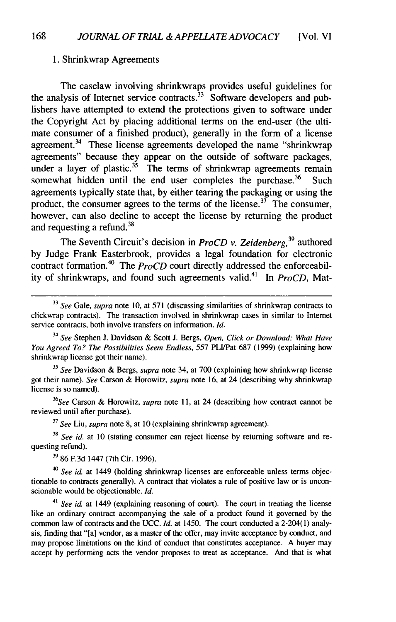#### 1. Shrinkwrap Agreements

The caselaw involving shrinkwraps provides useful guidelines for the analysis of Internet service contracts.  $33\overline{3}$  Software developers and publishers have attempted to extend the protections given to software under the Copyright Act by placing additional terms on the end-user (the ultimate consumer of a finished product), generally in the form of a license agreement.<sup>34</sup> These license agreements developed the name "shrinkwrap" agreements" because they appear on the outside of software packages, under a layer of plastic.<sup>35</sup> The terms of shrinkwrap agreements remain somewhat hidden until the end user completes the purchase.<sup>36</sup> Such agreements typically state that, by either tearing the packaging or using the product, the consumer agrees to the terms of the license.<sup>37</sup> The consumer, however, can also decline to accept the license by returning the product and requesting a refund.<sup>38</sup>

The Seventh Circuit's decision in *ProCD* v. Zeidenberg,<sup>39</sup> authored by Judge Frank Easterbrook, provides a legal foundation for electronic contract formation.<sup>40</sup> The  $\overrightarrow{ProCD}$  court directly addressed the enforceability of shrinkwraps, and found such agreements valid.<sup>41</sup> In *ProCD*, Mat-

**<sup>33</sup>***See* Gale, *supra* note 10, at 571 (discussing similarities of shrinkwrap contracts to clickwrap contracts). The transaction involved in shrinkwrap cases in similar to Internet service contracts, both involve transfers on information. *Id.*

**<sup>34</sup>***See* Stephen J. Davidson & Scott J. Bergs, *Open, Click or Download: What Have You Agreed To? The Possibilities Seem Endless,* 557 PLI/Pat 687 (1999) (explaining how shrinkwrap license got their name).

**<sup>35</sup>***See* Davidson & Bergs, *supra* note 34, at 700 (explaining how shrinkwrap license got their name). *See* Carson & Horowitz, *supra* note 16, at 24 (describing why shrinkwrap license is so named).

*36 See* Carson & Horowitz, *supra* note 11, at 24 (describing how contract cannot be reviewed until after purchase).

**<sup>37</sup>***See* Liu, *supra* note 8, at 10 (explaining shrinkwrap agreement).

**38** *See id.* at 10 (stating consumer can reject license by returning software and requesting refund).

**'9** 86 F.3d 1447 (7th Cir. 1996).

40 *See id.* at 1449 (holding shrinkwrap licenses are enforceable unless terms objectionable to contracts generally). A contract that violates a rule of positive law or is unconscionable would be objectionable. *Id.*

<sup>41</sup>*See id.* at 1449 (explaining reasoning of court). The court in treating the license like an ordinary contract accompanying the sale of a product found it governed by the common law of contracts and the UCC. *Id.* at 1450. The court conducted a 2-204(1) analysis, finding that "[a] vendor, as a master of the offer, may invite acceptance by conduct, and may propose limitations on the kind of conduct that constitutes acceptance. A buyer may accept by performing acts the vendor proposes to treat as acceptance. And that is what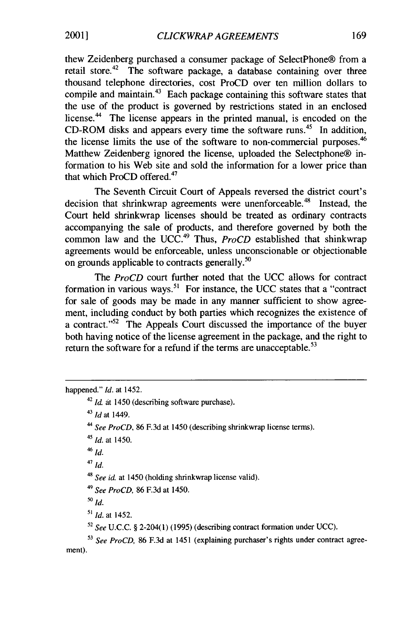thew Zeidenberg purchased a consumer package of SelectPhone® from a retail store.<sup>42</sup> The software package, a database containing over three thousand telephone directories, cost ProCD over ten million dollars to compile and maintain.<sup>43</sup> Each package containing this software states that the use of the product is governed by restrictions stated in an enclosed license.<sup>44</sup> The license appears in the printed manual, is encoded on the CD-ROM disks and appears every time the software runs.<sup>45</sup> In addition, the license limits the use of the software to non-commercial purposes. <sup>46</sup> Matthew Zeidenberg ignored the license, uploaded the Selectphone® information to his Web site and sold the information for a lower price than that which ProCD offered.<sup>47</sup>

The Seventh Circuit Court of Appeals reversed the district court's decision that shrinkwrap agreements were unenforceable.<sup>48</sup> Instead, the Court held shrinkwrap licenses should be treated as ordinary contracts accompanying the sale of products, and therefore governed by both the common law and the UCC.<sup>49</sup> Thus, *ProCD* established that shinkwrap agreements would be enforceable, unless unconscionable or objectionable on grounds applicable to contracts generally.<sup>50</sup>

The *ProCD* court further noted that the UCC allows for contract formation in various ways.<sup>51</sup> For instance, the UCC states that a "contract for sale of goods may be made in any manner sufficient to show agreement, including conduct by both parties which recognizes the existence of a contract." $52$  The Appeals Court discussed the importance of the buyer both having notice of the license agreement in the package, and the right to return the software for a refund if the terms are unacceptable.<sup>53</sup>

happened." *Id.* at 1452. <sup>42</sup>*Id.* at 1450 (describing software purchase). <sup>43</sup>*id* at 1449. *<sup>44</sup>See ProCD,* 86 F.3d at 1450 (describing shrinkwrap license terms). *<sup>45</sup>Id.* at 1450. 46 *Id.* <sup>47</sup>*id.* <sup>48</sup>*See id.* at 1450 (holding shrinkwrap license valid). <sup>49</sup>*See ProCD,* 86 F.3d at 1450. **<sup>50</sup> Id.** *" Id.* at 1452. <sup>52</sup>*See* U.C.C. § 2-204(1) (1995) (describing contract formation under UCC). *53 See ProCD,* 86 F.3d at 1451 (explaining purchaser's rights under contract agreement).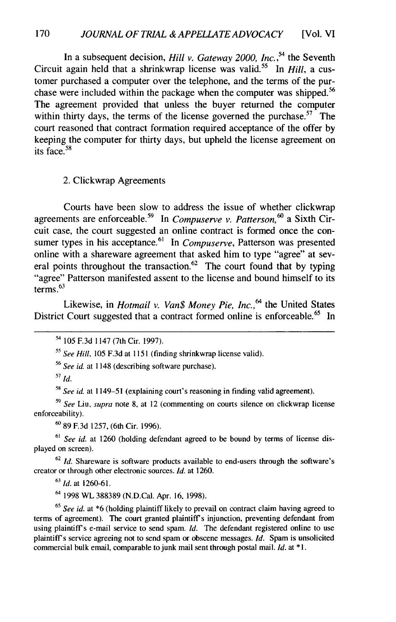In a subsequent decision, *Hill v. Gateway 2000, Inc.,54* the Seventh Circuit again held that a shrinkwrap license was valid.55 In *Hill,* a customer purchased a computer over the telephone, and the terms of the purchase were included within the package when the computer was shipped.<sup>56</sup> The agreement provided that unless the buyer returned the computer within thirty days, the terms of the license governed the purchase.<sup>57</sup> The court reasoned that contract formation required acceptance of the offer by keeping the computer for thirty days, but upheld the license agreement on its face. $58$ 

2. Clickwrap Agreements

Courts have been slow to address the issue of whether clickwrap agreements are enforceable.59 In *Compuserve v. Patterson,°* a Sixth Circuit case, the court suggested an online contract is formed once the consumer types in his acceptance.<sup>61</sup> In *Compuserve*, Patterson was presented online with a shareware agreement that asked him to type "agree" at several points throughout the transaction.<sup>62</sup> The court found that by typing "agree" Patterson manifested assent to the license and bound himself to its terms. $63$ 

Likewise, in *Hotmail v. Van\$ Money Pie, Inc.,<sup>64</sup>*the United States District Court suggested that a contract formed online is enforceable.<sup>65</sup> In

<sup>54</sup>105 F.3d 1147 (7th Cir. 1997).

*<sup>55</sup>See Hill,* 105 F.3d at 1151 (finding shrinkwrap license valid).

<sup>56</sup>*See id.* at 1148 (describing software purchase).

**<sup>57</sup>***Id.*

*<sup>58</sup>See id.* at 1149-51 (explaining court's reasoning in finding valid agreement).

*<sup>59</sup>See* Liu, *supra* note 8, at 12 (commenting on courts silence on clickwrap license enforceability).

**<sup>60</sup>**89 F.3d 1257, (6th Cir. 1996).

<sup>61</sup> See id. at 1260 (holding defendant agreed to be bound by terms of license displayed on screen).

**<sup>62</sup>***Id.* Shareware is software products available to end-users through the software's creator or through other electronic sources. *Id.* at 1260.

<sup>63</sup>*Id.* at 1260-61.

<sup>64</sup>1998 WL 388389 (N.D.Cal. Apr. **16,** 1998).

*<sup>65</sup>See id.* at \*6 (holding plaintiff likely to prevail on contract claim having agreed to terms of agreement). The court granted plaintiff's injunction, preventing defendant from using plaintiff's e-mail service to send spam. *Id.* The defendant registered online to use plaintiffs service agreeing not to send spain or obscene messages. *Id.* Spam is unsolicited commercial bulk email, comparable to junk mail sent through postal mail. *Id.* at **\*1.**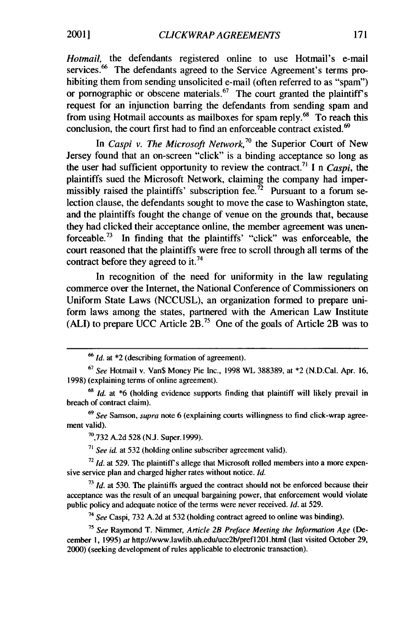*Hotmail,* the defendants registered online to use Hotmail's e-mail services.<sup>66</sup> The defendants agreed to the Service Agreement's terms prohibiting them from sending unsolicited e-mail (often referred to as "spam") or pornographic or obscene materials.<sup>67</sup> The court granted the plaintiff's request for an injunction barring the defendants from sending spam and from using Hotmail accounts as mailboxes for spam reply.<sup>68</sup> To reach this conclusion, the court first had to find an enforceable contract existed.<sup>69</sup>

In *Caspi v. The Microsoft Network*,<sup>70</sup> the Superior Court of New Jersey found that an on-screen "click" is a binding acceptance so long as the user had sufficient opportunity to review the contract.<sup>71</sup> I n *Caspi*, the plaintiffs sued the Microsoft Network, claiming the company had impermissibly raised the plaintiffs' subscription fee.<sup>72</sup> Pursuant to a forum selection clause, the defendants sought to move the case to Washington state, and the plaintiffs fought the change of venue on the grounds that, because they had clicked their acceptance online, the member agreement was unenforceable.73 In finding that the plaintiffs' "click" was enforceable, the court reasoned that the plaintiffs were free to scroll through all terms of the contract before they agreed to it.<sup>74</sup>

In recognition of the need for uniformity in the law regulating commerce over the Internet, the National Conference of Commissioners on Uniform State Laws (NCCUSL), an organization formed to prepare uniform laws among the states, partnered with the American Law Institute (ALl) to prepare UCC Article 2B.75 One of the goals of Article 2B was to

*69* See Samson, supra note 6 (explaining courts willingness to find click-wrap agreement valid).

 $70,732$  A.2d 528 (N.J. Super. 1999).

**<sup>71</sup>***See id* at 532 (holding online subscriber agreement valid).

**72** *Id.* at 529. The plaintiff's allege that Microsoft rolled members into a more expensive service plan and charged higher rates without notice. *Id.*

**<sup>73</sup>***Id.* at 530. The plaintiffs argued the contract should not be enforced because their acceptance was the result of an unequal bargaining power, that enforcement would violate public policy and adequate notice of the terms were never received. *Id.* at 529.

*<sup>74</sup>See* Caspi, 732 A.2d at 532 (holding contract agreed to online was binding).

*<sup>75</sup>See* Raymond T. Nimmer, *Article 2B Preface Meeting the Information Age* (December **1,** 1995) at http://www.lawlib.uh.edu/ucc2b/pref1201.htm (last visited October 29, 2000) (seeking development of rules applicable to electronic transaction).

*<sup>66</sup>***Id.** at \*2 (describing formation of agreement).

 $67$  See Hotmail v. Van\$ Money Pie Inc., 1998 WL 388389, at  $*2$  (N.D.Cal. Apr. 16, 1998) (explaining terms of online agreement).

*<sup>68</sup>***Id.** at \*6 (holding evidence supports finding that plaintiff will likely prevail in breach of contract claim).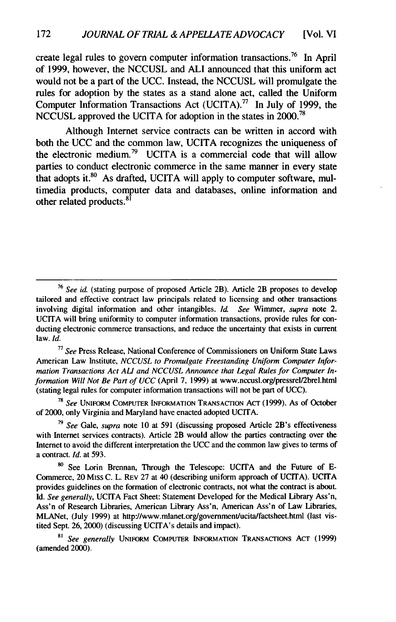create legal rules to govern computer information transactions.<sup>76</sup> In April of 1999, however, the NCCUSL and ALl announced that this uniform act would not be a part of the UCC. Instead, the NCCUSL will promulgate the rules for adoption by the states as a stand alone act, called the Uniform Computer Information Transactions Act (UCITA).<sup>77</sup> In July of 1999, the NCCUSL approved the UCITA for adoption in the states in 2000.<sup>78</sup>

Although Internet service contracts can be written in accord with both the UCC and the common law, UCITA recognizes the uniqueness of the electronic medium.<sup>79</sup> UCITA is a commercial code that will allow parties to conduct electronic commerce in the same manner in every state that adopts it. $80$  As drafted, UCITA will apply to computer software, multimedia products, computer data and databases, online information and other related products.<sup>81</sup>

**<sup>77</sup>***See* Press Release, National Conference of Commissioners on Uniform State Laws American Law Institute, *NCCUSL to Promulgate Freestanding Uniform Computer Information Transactions Act ALl and NCCUSL Announce that Legal Rules for Computer Information Will* Not *Be Part of UCC* (April 7, 1999) at www.nccusl.org/pressrel/2brel.html (stating legal rules for computer information transactions will not be part of UCC).

<sup>78</sup>*See* UNIFORM COMPUTER INFORMATION TRANSACTION ACT (1999). As of October of 2000, only Virginia and Maryland have enacted adopted UCITA.

**<sup>79</sup>***See* Gale, *supra* note **10** at 591 (discussing proposed Article 2B's effectiveness with Internet services contracts). Article 2B would allow the parties contracting over the Internet to avoid the different interpretation the **UCC** and the common law gives to terms of a contract. *Id.* at 593.

**80** See Lorin Brennan, Through the Telescope: UCITA and the Future of **E-**Commerce, 20 Miss C. L. **REV** 27 at 40 (describing uniform approach of UCITA). UCITA provides guidelines on the formation of electronic contracts, not what the contract is about. Id. *See generally,* UCITA Fact Sheet: Statement Developed for the Medical Library Ass'n, Ass'n of Research Libraries, American Library Ass'n, American Ass'n of Law Libraries, MLANet, (July 1999) at http://www.mlanet.org/goverment/ucita/factsheet.html (last vistited Sept. 26, 2000) (discussing UCITA's details and impact).

*8' See generally* **UNIFORM** COMPUTER INFORMATION TRANSACTIONS **ACT** (1999) (amended 2000).

**<sup>76</sup>***See id.* (stating purpose of proposed Article 2B). Article 2B proposes to develop tailored and effective contract law principals related to licensing and other transactions involving digital information and other intangibles. *Id. See* Wimmer, *supra* note 2. UCITA will bring uniformity to computer information transactions, provide rules for conducting electronic commerce transactions, and reduce the uncertainty that exists in current law. *Id.*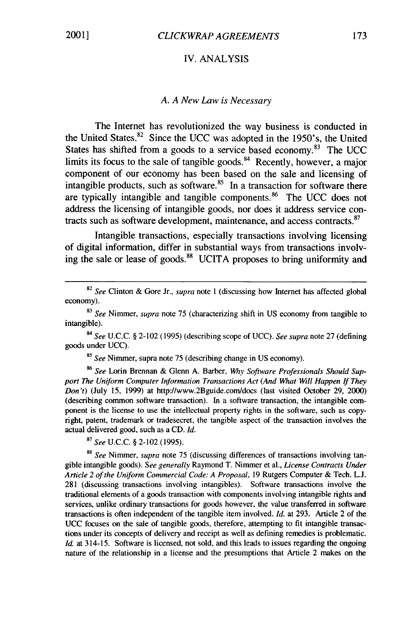#### IV. ANALYSIS

#### *A. A New Law is Necessary*

The Internet has revolutionized the way business is conducted in the United States. $82$  Since the UCC was adopted in the 1950's, the United States has shifted from a goods to a service based economy. $83$  The UCC limits its focus to the sale of tangible goods. $^{84}$  Recently, however, a major component of our economy has been based on the sale and licensing of intangible products, such as software. $85$  In a transaction for software there are typically intangible and tangible components.86 The UCC does not address the licensing of intangible goods, nor does it address service contracts such as software development, maintenance, and access contracts.<sup>87</sup>

Intangible transactions, especially transactions involving licensing of digital information, differ in substantial ways from transactions involving the sale or lease of goods.<sup>88</sup> UCITA proposes to bring uniformity and

*<sup>85</sup>See* Nimmer, supra note 75 (describing change in US economy).

*86 See* Lorin Brennan & Glenn A. Barber, *Why Software Professionals Should Support The Uniform Computer Information Transactions Act (And What Will Happen If They Don't)* (July 15, 1999) at http://www.2Bguide.com/docs (last visited October 29, 2000) (describing common software transaction). In a software transaction, the intangible component is the license to use the intellectual property rights in the software, such as copyright, patent, trademark or tradesecret, the tangible aspect of the transaction involves the actual delivered good, such as a CD. *Id.*

<sup>87</sup>*See* U.C.C. § 2-102 (1995).

*88 See* Nimmer, *supra* note 75 (discussing differences of transactions involving tangible intangible goods). *See generally* Raymond T. Nimmer et al., *License Contracts Under Article 2 of the Uniform Commercial Code: A Proposal,* 19 Rutgers Computer & Tech. L.J. 281 (discussing transactions involving intangibles). Software transactions involve the traditional elements of a goods transaction with components involving intangible rights and services, unlike ordinary transactions for goods however, the value transferred in software transactions is often independent of the tangible item involved. *Id.* at 293. Article 2 of the UCC focuses on the sale of tangible goods, therefore, attempting to fit intangible transactions under its concepts of delivery and receipt as well as defining remedies is problematic. *Id.* at 314-15. Software is licensed, not sold, and this leads to issues regarding the ongoing nature of the relationship in a license and the presumptions that Article 2 makes on the

 $82$  See Clinton & Gore Jr., supra note 1 (discussing how Internet has affected global economy).

 $83$  See Nimmer, supra note 75 (characterizing shift in US economy from tangible to intangible).

*<sup>84</sup>*See U.C.C. **§** 2-102 (1995) (describing scope of UCC). See supra note 27 (defining goods under UCC).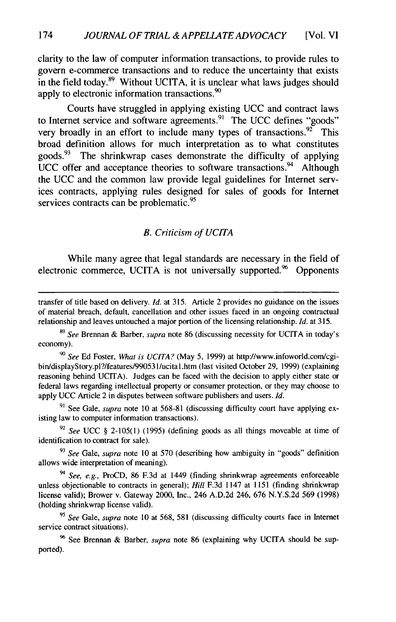clarity to the law of computer information transactions, to provide rules to govern e-commerce transactions and to reduce the uncertainty that exists in the field today. $89$  Without UCITA, it is unclear what laws judges should apply to electronic information transactions.<sup>90</sup>

Courts have struggled in applying existing UCC and contract laws to Internet service and software agreements.<sup>91</sup> The UCC defines "goods" very broadly in an effort to include many types of transactions.<sup>92</sup> This broad definition allows for much interpretation as to what constitutes goods.<sup>93</sup> The shrinkwrap cases demonstrate the difficulty of applying UCC offer and acceptance theories to software transactions.<sup>94</sup> Although the UCC and the common law provide legal guidelines for Internet services contracts, applying rules designed for sales of goods for Internet services contracts can be problematic.<sup>95</sup>

#### *B. Criticism of UCITA*

While many agree that legal standards are necessary in the field of electronic commerce, UCITA is not universally supported. $96$  Opponents

transfer of title based on delivery. *Id.* at 315. Article 2 provides no guidance on the issues of material breach, default, cancellation and other issues faced in an ongoing contractual relationship and leaves untouched a major portion of the licensing relationship. *Id.* at 315.

<sup>89</sup>*See* Brennan & Barber, supra note 86 (discussing necessity for UCITA in today's economy).

*90 See* Ed Foster, What *is UCITA?* (May 5, 1999) at http://www.infoworld.com/cgibin/displayStory.pl?/features/99053 1/ucita l.htm (last visited October 29, 1999) (explaining reasoning behind UCITA). Judges can be faced with the decision to apply either state or federal laws regarding intellectual property or consumer protection, or they may choose to apply UCC Article 2 in disputes between software publishers and users. *Id.*

**9'** See Gale, *supra* note 10 at 568-81 (discussing difficulty court have applying existing law to computer information transactions).

<sup>92</sup> See UCC § 2-105(1) (1995) (defining goods as all things moveable at time of identification to contract for sale).

**<sup>93</sup>***See* Gale, *supra* note 10 at 570 (describing how ambiguity in "goods" definition allows wide interpretation of meaning).

*94 See, e.g.,* ProCD, 86 F.3d at 1449 (finding shrinkwrap agreements enforceable unless objectionable to contracts in general); *Hill* F.3d 1147 at 1151 (finding shrinkwrap license valid); Brower v. Gateway 2000, Inc., 246 A.D.2d 246, 676 N.Y.S.2d 569 (1998) (holding shrinkwrap license valid).

**<sup>95</sup>***See* Gale, *supra* note 10 at 568, 581 (discussing difficulty courts face in Internet service contract situations).

**96** See Brennan & Barber, *supra* note 86 (explaining why UCITA should be supported).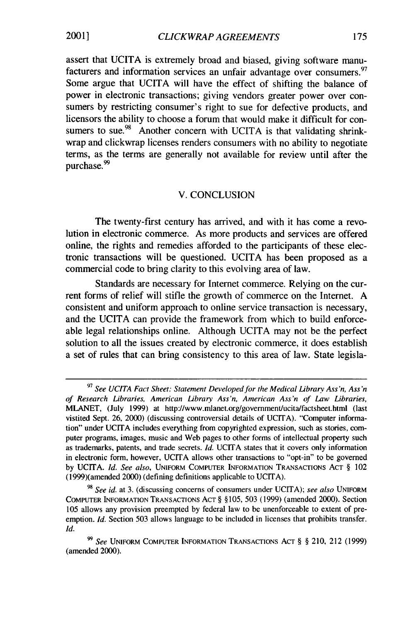assert that UCITA is extremely broad and biased, giving software manufacturers and information services an unfair advantage over consumers.<sup>97</sup> Some argue that UCITA will have the effect of shifting the balance of power in electronic transactions; giving vendors greater power over consumers by restricting consumer's right to sue for defective products, and licensors the ability to choose a forum that would make it difficult for consumers to sue.<sup>98</sup> Another concern with UCITA is that validating shrinkwrap and clickwrap licenses renders consumers with no ability to negotiate terms, as the terms are generally not available for review until after the purchase. <sup>99</sup>

#### V. CONCLUSION

The twenty-first century has arrived, and with it has come a revolution in electronic commerce. As more products and services are offered online, the rights and remedies afforded to the participants of these electronic transactions will be questioned. UCITA has been proposed as a commercial code to bring clarity to this evolving area of law.

Standards are necessary for Internet commerce. Relying on the current forms of relief will stifle the growth of commerce on the Internet. A consistent and uniform approach to online service transaction is necessary, and the UCITA can provide the framework from which to build enforceable legal relationships online. Although UCITA may not be the perfect solution to all the issues created by electronic commerce, it does establish a set of rules that can bring consistency to this area of law. State legisla-

**<sup>97</sup>***See UCITA Fact Sheet: Statement Developed for the Medical Library Ass 'n, Ass 'n of Research Libraries, American Library Ass'n, American Ass'n of Law Libraries,* MLANET, (July 1999) at http://www.mlanet.org/government/ucita/factsheet.html (last vistited Sept. 26, 2000) (discussing controversial details of UCITA). "Computer information" under UCITA includes everything from copyrighted expression, such as stories, computer programs, images, music and Web pages to other forms of intellectual property such as trademarks, patents, and trade secrets. *Id.* UCITA states that it covers only information in electronic form, however, UCITA allows other transactions to "opt-in" to be governed **by** UCITA. *Id. See also,* **UNIFORM** COMPUTER INFORMATION TRANSACTIONS **ACT** § 102 (1999)(amended 2000) (defining definitions applicable to UCITA).

*<sup>98</sup>See id.* at 3. (discussing concerns of consumers under UCITA); *see also* UNIFORM COMPUTER INFORMATION TRANSACTIONS **ACT** § § 105, 503 (1999) (amended 2000). Section 105 allows any provision preempted by federal law to be unenforceable to extent of preemption. *Id.* Section 503 allows language to be included in licenses that prohibits transfer. *Id.*

*<sup>99</sup>See* **UNIFORM** COMPUTER INFORMATION TRANSACTIONS **ACT** § § 210, 212 (1999) (amended 2000).